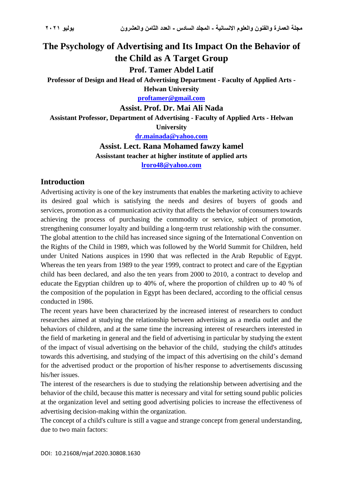# **The Psychology of Advertising and Its Impact On the Behavior of the Child as A Target Group**

**Prof. Tamer Abdel Latif**

**Professor of Design and Head of Advertising Department - Faculty of Applied Arts -**

**Helwan University [proftamer@gmail.com](mailto:proftamer@gmail.com)**

**Assist. Prof. Dr. Mai Ali Nada**

**Assistant Professor, Department of Advertising - Faculty of Applied Arts - Helwan** 

**University**

**[dr.mainada@yahoo.com](mailto:dr.mainada@yahoo.com)**

**Assist. Lect. Rana Mohamed fawzy kamel Assisstant teacher at higher institute of applied arts**

**[lroro48@yahoo.com](mailto:lroro48@yahoo.com)**

#### **Introduction**

Advertising activity is one of the key instruments that enables the marketing activity to achieve its desired goal which is satisfying the needs and desires of buyers of goods and services, promotion as a communication activity that affects the behavior of consumers towards achieving the process of purchasing the commodity or service, subject of promotion, strengthening consumer loyalty and building a long-term trust relationship with the consumer . The global attention to the child has increased since signing of the International Convention on the Rights of the Child in 1989, which was followed by the World Summit for Children, held under United Nations auspices in 1990 that was reflected in the Arab Republic of Egypt. Whereas the ten years from 1989 to the year 1999, contract to protect and care of the Egyptian child has been declared, and also the ten years from 2000 to 2010, a contract to develop and educate the Egyptian children up to 40% of, where the proportion of children up to 40 % of the composition of the population in Egypt has been declared, according to the official census conducted in 1986.

The recent years have been characterized by the increased interest of researchers to conduct researches aimed at studying the relationship between advertising as a media outlet and the behaviors of children, and at the same time the increasing interest of researchers interested in the field of marketing in general and the field of advertising in particular by studying the extent of the impact of visual advertising on the behavior of the child, studying the child's attitudes towards this advertising, and studying of the impact of this advertising on the child's demand for the advertised product or the proportion of his/her response to advertisements discussing his/her issues.

The interest of the researchers is due to studying the relationship between advertising and the behavior of the child, because this matter is necessary and vital for setting sound public policies at the organization level and setting good advertising policies to increase the effectiveness of advertising decision-making within the organization.

The concept of a child's culture is still a vague and strange concept from general understanding, due to two main factors: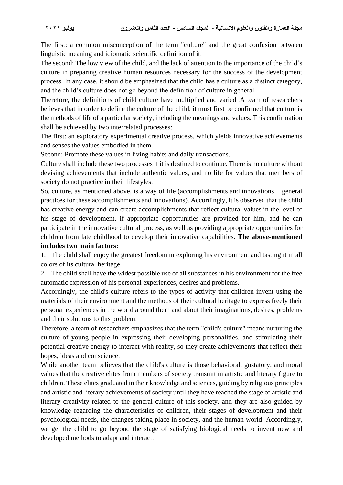The first: a common misconception of the term "culture" and the great confusion between linguistic meaning and idiomatic scientific definition of it.

The second: The low view of the child, and the lack of attention to the importance of the child's culture in preparing creative human resources necessary for the success of the development process. In any case, it should be emphasized that the child has a culture as a distinct category, and the child's culture does not go beyond the definition of culture in general.

Therefore, the definitions of child culture have multiplied and varied .A team of researchers believes that in order to define the culture of the child, it must first be confirmed that culture is the methods of life of a particular society, including the meanings and values. This confirmation shall be achieved by two interrelated processes:

The first: an exploratory experimental creative process, which yields innovative achievements and senses the values embodied in them.

Second: Promote these values in living habits and daily transactions.

Culture shall include these two processes if it is destined to continue. There is no culture without devising achievements that include authentic values, and no life for values that members of society do not practice in their lifestyles.

So, culture, as mentioned above, is a way of life (accomplishments and innovations + general practices for these accomplishments and innovations). Accordingly, it is observed that the child has creative energy and can create accomplishments that reflect cultural values in the level of his stage of development, if appropriate opportunities are provided for him, and he can participate in the innovative cultural process, as well as providing appropriate opportunities for children from late childhood to develop their innovative capabilities. **The above-mentioned includes two main factors :**

1. The child shall enjoy the greatest freedom in exploring his environment and tasting it in all colors of its cultural heritage .

2. The child shall have the widest possible use of all substances in his environment for the free automatic expression of his personal experiences, desires and problems.

Accordingly, the child's culture refers to the types of activity that children invent using the materials of their environment and the methods of their cultural heritage to express freely their personal experiences in the world around them and about their imaginations, desires, problems and their solutions to this problem.

Therefore, a team of researchers emphasizes that the term "child's culture" means nurturing the culture of young people in expressing their developing personalities, and stimulating their potential creative energy to interact with reality, so they create achievements that reflect their hopes, ideas and conscience.

While another team believes that the child's culture is those behavioral, gustatory, and moral values that the creative elites from members of society transmit in artistic and literary figure to children. These elites graduated in their knowledge and sciences, guiding by religious principles and artistic and literary achievements of society until they have reached the stage of artistic and literary creativity related to the general culture of this society, and they are also guided by knowledge regarding the characteristics of children, their stages of development and their psychological needs, the changes taking place in society, and the human world. Accordingly, we get the child to go beyond the stage of satisfying biological needs to invent new and developed methods to adapt and interact.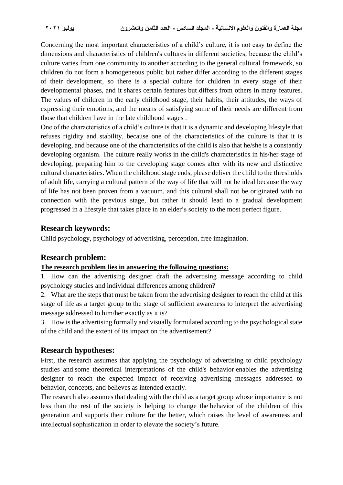Concerning the most important characteristics of a child's culture, it is not easy to define the dimensions and characteristics of children's cultures in different societies, because the child's culture varies from one community to another according to the general cultural framework, so children do not form a homogeneous public but rather differ according to the different stages of their development, so there is a special culture for children in every stage of their developmental phases, and it shares certain features but differs from others in many features. The values of children in the early childhood stage, their habits, their attitudes, the ways of expressing their emotions, and the means of satisfying some of their needs are different from those that children have in the late childhood stages .

One of the characteristics of a child's culture is that it is a dynamic and developing lifestyle that refuses rigidity and stability, because one of the characteristics of the culture is that it is developing, and because one of the characteristics of the child is also that he/she is a constantly developing organism. The culture really works in the child's characteristics in his/her stage of developing, preparing him to the developing stage comes after with its new and distinctive cultural characteristics. When the childhood stage ends, please deliver the child to the thresholds of adult life, carrying a cultural pattern of the way of life that will not be ideal because the way of life has not been proven from a vacuum, and this cultural shall not be originated with no connection with the previous stage, but rather it should lead to a gradual development progressed in a lifestyle that takes place in an elder's society to the most perfect figure .

#### **Research keywords :**

Child psychology, psychology of advertising, perception, free imagination.

# **Research problem:**

#### **The research problem lies in answering the following questions :**

1. How can the advertising designer draft the advertising message according to child psychology studies and individual differences among children?

2. What are the steps that must be taken from the advertising designer to reach the child at this stage of life as a target group to the stage of sufficient awareness to interpret the advertising message addressed to him/her exactly as it is?

3. How is the advertising formally and visually formulated according to the psychological state of the child and the extent of its impact on the advertisement?

#### **Research hypotheses :**

First, the research assumes that applying the psychology of advertising to child psychology studies and some theoretical interpretations of the child's behavior enables the advertising designer to reach the expected impact of receiving advertising messages addressed to behavior, concepts, and believes as intended exactly.

The research also assumes that dealing with the child as a target group whose importance is not less than the rest of the society is helping to change the behavior of the children of this generation and supports their culture for the better, which raises the level of awareness and intellectual sophistication in order to elevate the society's future .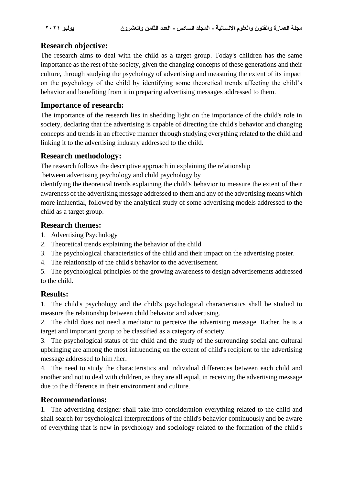# **Research objective :**

The research aims to deal with the child as a target group. Today's children has the same importance as the rest of the society, given the changing concepts of these generations and their culture, through studying the psychology of advertising and measuring the extent of its impact on the psychology of the child by identifying some theoretical trends affecting the child's behavior and benefiting from it in preparing advertising messages addressed to them.

# **Importance of research :**

The importance of the research lies in shedding light on the importance of the child's role in society, declaring that the advertising is capable of directing the child's behavior and changing concepts and trends in an effective manner through studying everything related to the child and linking it to the advertising industry addressed to the child.

# **Research methodology:**

The research follows the descriptive approach in explaining the relationship

between advertising psychology and child psychology by

identifying the theoretical trends explaining the child's behavior to measure the extent of their awareness of the advertising message addressed to them and any of the advertising means which more influential, followed by the analytical study of some advertising models addressed to the child as a target group.

# **Research themes :**

- 1. Advertising Psychology
- 2. Theoretical trends explaining the behavior of the child
- 3. The psychological characteristics of the child and their impact on the advertising poster.
- 4. The relationship of the child's behavior to the advertisement.

5. The psychological principles of the growing awareness to design advertisements addressed to the child.

# **Results :**

1. The child's psychology and the child's psychological characteristics shall be studied to measure the relationship between child behavior and advertising.

2. The child does not need a mediator to perceive the advertising message. Rather, he is a target and important group to be classified as a category of society .

3. The psychological status of the child and the study of the surrounding social and cultural upbringing are among the most influencing on the extent of child's recipient to the advertising message addressed to him /her.

4. The need to study the characteristics and individual differences between each child and another and not to deal with children, as they are all equal, in receiving the advertising message due to the difference in their environment and culture.

# **Recommendations :**

1. The advertising designer shall take into consideration everything related to the child and shall search for psychological interpretations of the child's behavior continuously and be aware of everything that is new in psychology and sociology related to the formation of the child's